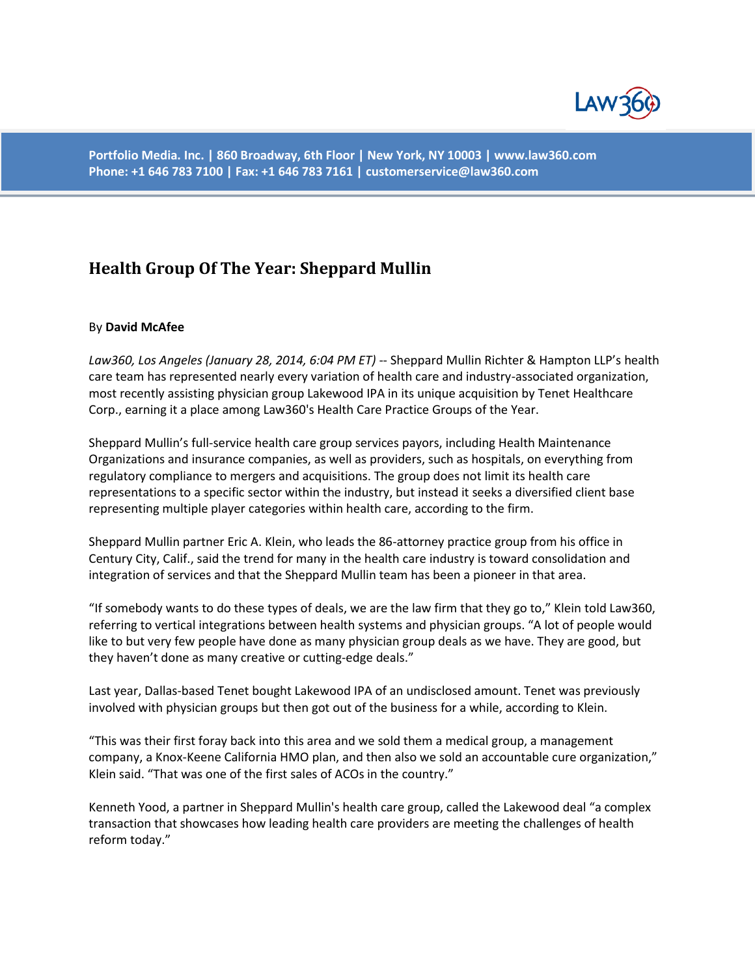

**Portfolio Media. Inc. | 860 Broadway, 6th Floor | New York, NY 10003 | www.law360.com Phone: +1 646 783 7100 | Fax: +1 646 783 7161 | customerservice@law360.com**

## **Health Group Of The Year: Sheppard Mullin**

## By **David McAfee**

*Law360, Los Angeles (January 28, 2014, 6:04 PM ET)* -- Sheppard Mullin Richter & Hampton LLP's health care team has represented nearly every variation of health care and industry-associated organization, most recently assisting physician group Lakewood IPA in its unique acquisition by Tenet Healthcare Corp., earning it a place among Law360's Health Care Practice Groups of the Year.

Sheppard Mullin's full-service health care group services payors, including Health Maintenance Organizations and insurance companies, as well as providers, such as hospitals, on everything from regulatory compliance to mergers and acquisitions. The group does not limit its health care representations to a specific sector within the industry, but instead it seeks a diversified client base representing multiple player categories within health care, according to the firm.

Sheppard Mullin partner Eric A. Klein, who leads the 86-attorney practice group from his office in Century City, Calif., said the trend for many in the health care industry is toward consolidation and integration of services and that the Sheppard Mullin team has been a pioneer in that area.

"If somebody wants to do these types of deals, we are the law firm that they go to," Klein told Law360, referring to vertical integrations between health systems and physician groups. "A lot of people would like to but very few people have done as many physician group deals as we have. They are good, but they haven't done as many creative or cutting-edge deals."

Last year, Dallas-based Tenet bought Lakewood IPA of an undisclosed amount. Tenet was previously involved with physician groups but then got out of the business for a while, according to Klein.

"This was their first foray back into this area and we sold them a medical group, a management company, a Knox-Keene California HMO plan, and then also we sold an accountable cure organization," Klein said. "That was one of the first sales of ACOs in the country."

Kenneth Yood, a partner in Sheppard Mullin's health care group, called the Lakewood deal "a complex transaction that showcases how leading health care providers are meeting the challenges of health reform today."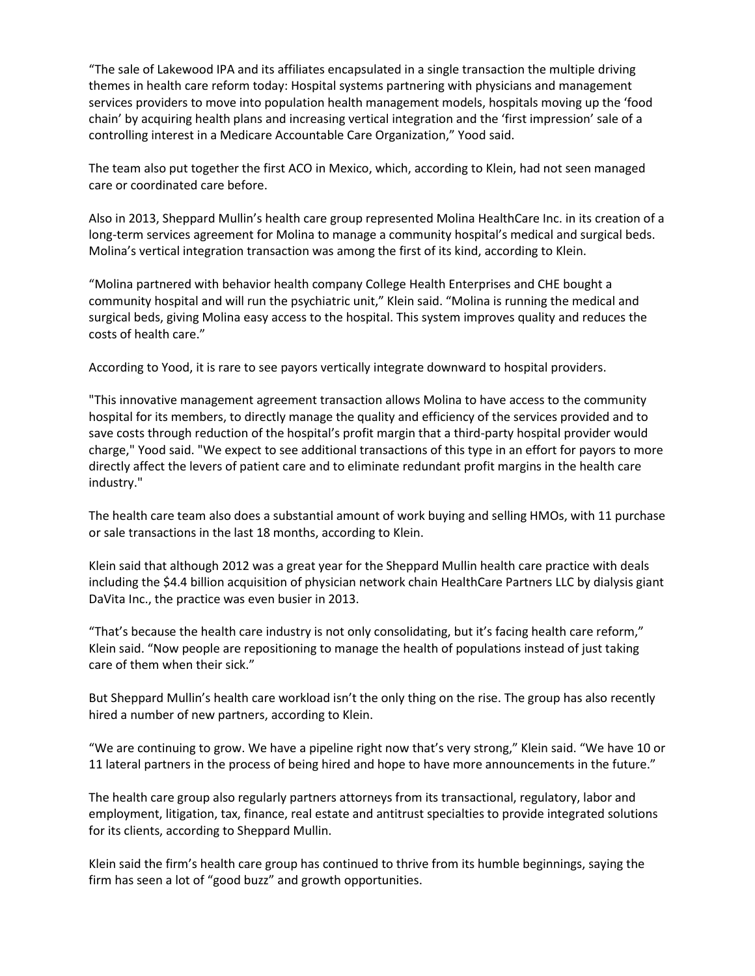"The sale of Lakewood IPA and its affiliates encapsulated in a single transaction the multiple driving themes in health care reform today: Hospital systems partnering with physicians and management services providers to move into population health management models, hospitals moving up the 'food chain' by acquiring health plans and increasing vertical integration and the 'first impression' sale of a controlling interest in a Medicare Accountable Care Organization," Yood said.

The team also put together the first ACO in Mexico, which, according to Klein, had not seen managed care or coordinated care before.

Also in 2013, Sheppard Mullin's health care group represented Molina HealthCare Inc. in its creation of a long-term services agreement for Molina to manage a community hospital's medical and surgical beds. Molina's vertical integration transaction was among the first of its kind, according to Klein.

"Molina partnered with behavior health company College Health Enterprises and CHE bought a community hospital and will run the psychiatric unit," Klein said. "Molina is running the medical and surgical beds, giving Molina easy access to the hospital. This system improves quality and reduces the costs of health care."

According to Yood, it is rare to see payors vertically integrate downward to hospital providers.

"This innovative management agreement transaction allows Molina to have access to the community hospital for its members, to directly manage the quality and efficiency of the services provided and to save costs through reduction of the hospital's profit margin that a third-party hospital provider would charge," Yood said. "We expect to see additional transactions of this type in an effort for payors to more directly affect the levers of patient care and to eliminate redundant profit margins in the health care industry."

The health care team also does a substantial amount of work buying and selling HMOs, with 11 purchase or sale transactions in the last 18 months, according to Klein.

Klein said that although 2012 was a great year for the Sheppard Mullin health care practice with deals including the \$4.4 billion acquisition of physician network chain HealthCare Partners LLC by dialysis giant DaVita Inc., the practice was even busier in 2013.

"That's because the health care industry is not only consolidating, but it's facing health care reform," Klein said. "Now people are repositioning to manage the health of populations instead of just taking care of them when their sick."

But Sheppard Mullin's health care workload isn't the only thing on the rise. The group has also recently hired a number of new partners, according to Klein.

"We are continuing to grow. We have a pipeline right now that's very strong," Klein said. "We have 10 or 11 lateral partners in the process of being hired and hope to have more announcements in the future."

The health care group also regularly partners attorneys from its transactional, regulatory, labor and employment, litigation, tax, finance, real estate and antitrust specialties to provide integrated solutions for its clients, according to Sheppard Mullin.

Klein said the firm's health care group has continued to thrive from its humble beginnings, saying the firm has seen a lot of "good buzz" and growth opportunities.